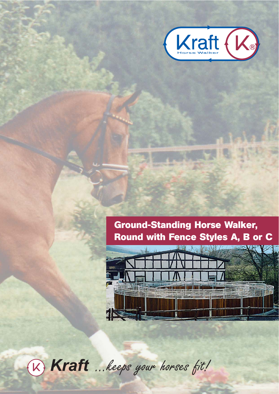

# **Ground-Standing Horse Walker, Round with Fence Styles A, B or C**



® *Kraft* ...keeps your horses fit!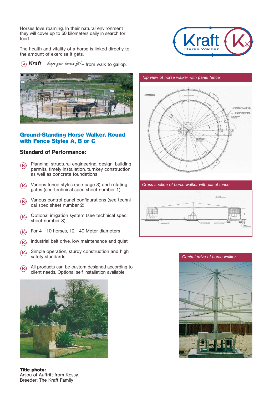Horses love roaming. In their natural environment they will cover up to 50 kilometers daily in search for food.

The health and vitality of a horse is linked directly to the amount of exercise it gets.



} *Kraft ...keeps your horses fit!* – from walk to gallop.



### **Ground-Standing Horse Walker, Round with Fence Styles A, B or C**

## Standard of Performance:

- ® Planning, structural engineering, design, building permits, timely installation, turnkey construction as well as concrete foundations
- ® Various fence styles (see page 3) and rotating gates (see technical spec sheet number 1)
- ® Various control panel configurations (see technical spec sheet number 2)
- ® Optional irrigation system (see technical spec sheet number 3)
- $\mathcal{R}$ For 4 - 10 horses, 12 - 40 Meter diameters
- $\mathcal{R}$ Industrial belt drive, low maintenance and quiet
- $(x)$ Simple operation, sturdy construction and high safety standards
- ® All products can be custom designed according to client needs. Optional self-installation available



**Title photo:** Anjou of Auftritt from Kessy. Breeder: The Kraft Family



*Cross section of horse walker with panel fence*



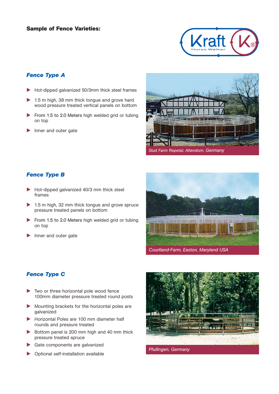#### **Sample of Fence Varieties:**



## *Fence Type A*

- Hot-dipped galvanized 50/3mm thick steel frames
- 1.5 m high, 38 mm thick tongue and grove hard wood pressure treated vertical panels on bottom
- From 1.5 to 2.0 Meters high welded grid or tubing on top
- Inner and outer gate



#### *Fence Type B*

- Hot-dipped galvanized 40/3 mm thick steel frames
- 1.5 m high, 32 mm thick tongue and grove spruce pressure treated panels on bottom
- From 1.5 to 2.0 Meters high welded grid or tubing on top
- Inner and outer gate



# *Fence Type C*

- Two or three horizontal pole wood fence 100mm diameter pressure treated round posts
- Mounting brackets for the horizontal poles are galvanized
- Horizontal Poles are 100 mm diameter half rounds and pressure treated
- Bottom panel is 200 mm high and 40 mm thick pressure treated spruce
- Gate components are galvanized
- Optional self-installation available